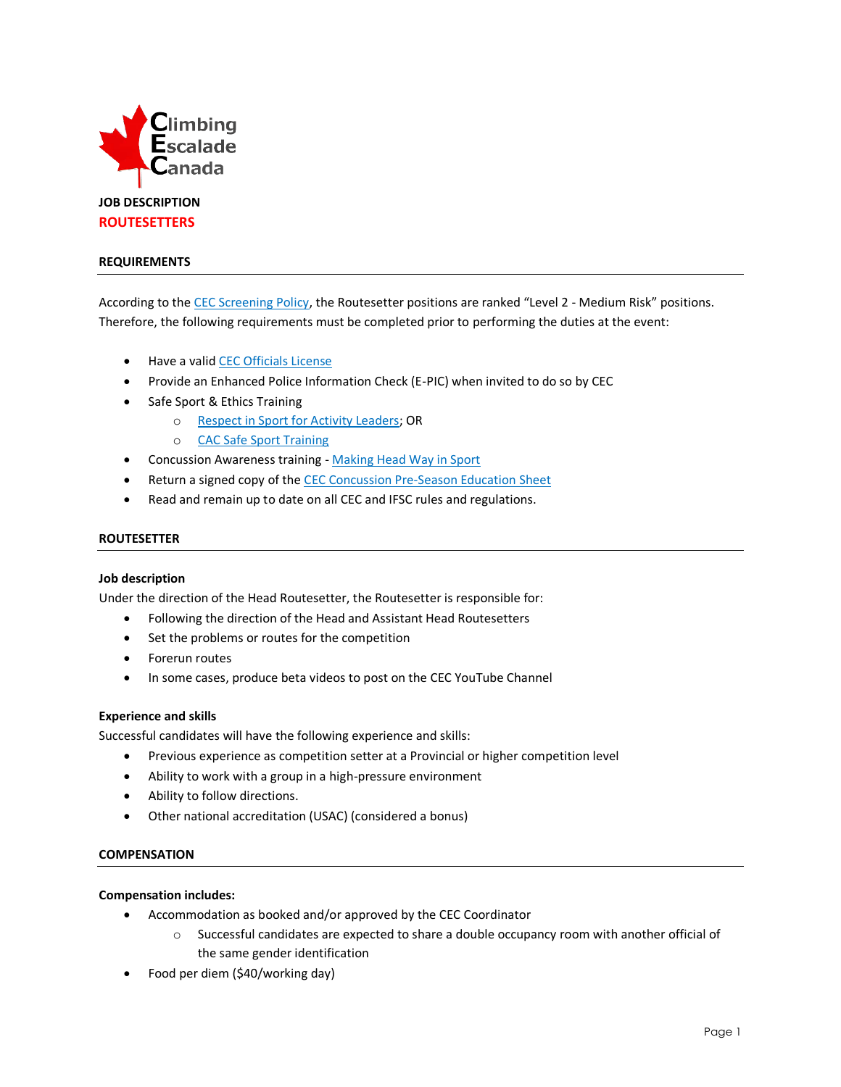

### **REQUIREMENTS**

According to the [CEC Screening Policy](http://climbingcanada.ca/wp-content/uploads/2020/09/CEC-SP-06-Screening-Policy.pdf), the Routesetter positions are ranked "Level 2 - Medium Risk" positions. Therefore, the following requirements must be completed prior to performing the duties at the event:

- Have a vali[d CEC Officials License](https://member.climbingcanada.ca/login)
- Provide an Enhanced Police Information Check (E-PIC) when invited to do so by CEC
- Safe Sport & Ethics Training
	- o [Respect in Sport for Activity Leaders;](https://climbing-escalade-canada-al.respectgroupinc.com/) OR
	- o [CAC Safe Sport Training](https://safesport.coach.ca/)
- Concussion Awareness training [Making Head Way in Sport](https://coach.ca/making-head-way-concussion-elearning-series)
- Return a signed copy of th[e CEC Concussion Pre-Season Education Sheet](https://www.climbingcanada.ca/wp-content/uploads/2020/12/CEC-PreSeason-Education-Sheet-Parachute-ENG.pdf)
- Read and remain up to date on all CEC and IFSC rules and regulations.

# **ROUTESETTER**

#### **Job description**

Under the direction of the Head Routesetter, the Routesetter is responsible for:

- Following the direction of the Head and Assistant Head Routesetters
- Set the problems or routes for the competition
- Forerun routes
- In some cases, produce beta videos to post on the CEC YouTube Channel

#### **Experience and skills**

Successful candidates will have the following experience and skills:

- Previous experience as competition setter at a Provincial or higher competition level
- Ability to work with a group in a high-pressure environment
- Ability to follow directions.
- Other national accreditation (USAC) (considered a bonus)

## **COMPENSATION**

#### **Compensation includes:**

- Accommodation as booked and/or approved by the CEC Coordinator
	- o Successful candidates are expected to share a double occupancy room with another official of the same gender identification
- Food per diem (\$40/working day)